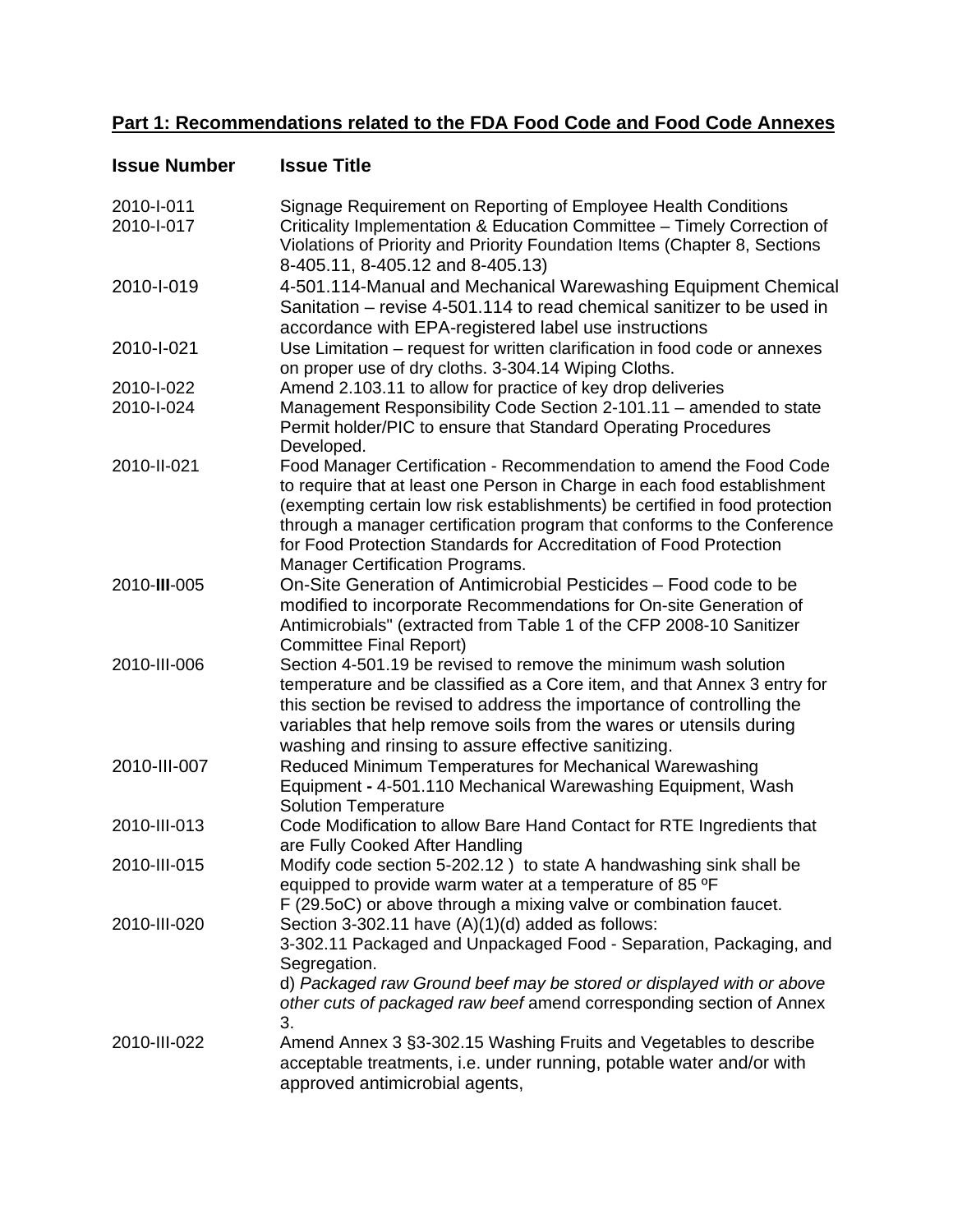## **Part 1: Recommendations related to the FDA Food Code and Food Code Annexes**

| <b>Issue Number</b>      | <b>Issue Title</b>                                                                                                                                                                                                                                                                                                                                                                                                       |
|--------------------------|--------------------------------------------------------------------------------------------------------------------------------------------------------------------------------------------------------------------------------------------------------------------------------------------------------------------------------------------------------------------------------------------------------------------------|
| 2010-I-011<br>2010-I-017 | Signage Requirement on Reporting of Employee Health Conditions<br>Criticality Implementation & Education Committee - Timely Correction of<br>Violations of Priority and Priority Foundation Items (Chapter 8, Sections<br>8-405.11, 8-405.12 and 8-405.13)                                                                                                                                                               |
| 2010-I-019               | 4-501.114-Manual and Mechanical Warewashing Equipment Chemical<br>Sanitation – revise 4-501.114 to read chemical sanitizer to be used in<br>accordance with EPA-registered label use instructions                                                                                                                                                                                                                        |
| 2010-l-021               | Use Limitation – request for written clarification in food code or annexes<br>on proper use of dry cloths. 3-304.14 Wiping Cloths.                                                                                                                                                                                                                                                                                       |
| 2010-I-022<br>2010-I-024 | Amend 2.103.11 to allow for practice of key drop deliveries<br>Management Responsibility Code Section 2-101.11 - amended to state<br>Permit holder/PIC to ensure that Standard Operating Procedures<br>Developed.                                                                                                                                                                                                        |
| 2010-II-021              | Food Manager Certification - Recommendation to amend the Food Code<br>to require that at least one Person in Charge in each food establishment<br>(exempting certain low risk establishments) be certified in food protection<br>through a manager certification program that conforms to the Conference<br>for Food Protection Standards for Accreditation of Food Protection<br><b>Manager Certification Programs.</b> |
| 2010-III-005             | On-Site Generation of Antimicrobial Pesticides - Food code to be<br>modified to incorporate Recommendations for On-site Generation of<br>Antimicrobials" (extracted from Table 1 of the CFP 2008-10 Sanitizer<br><b>Committee Final Report)</b>                                                                                                                                                                          |
| 2010-III-006             | Section 4-501.19 be revised to remove the minimum wash solution<br>temperature and be classified as a Core item, and that Annex 3 entry for<br>this section be revised to address the importance of controlling the<br>variables that help remove soils from the wares or utensils during<br>washing and rinsing to assure effective sanitizing.                                                                         |
| 2010-III-007             | Reduced Minimum Temperatures for Mechanical Warewashing<br>Equipment - 4-501.110 Mechanical Warewashing Equipment, Wash<br><b>Solution Temperature</b>                                                                                                                                                                                                                                                                   |
| 2010-III-013             | Code Modification to allow Bare Hand Contact for RTE Ingredients that<br>are Fully Cooked After Handling                                                                                                                                                                                                                                                                                                                 |
| 2010-III-015             | Modify code section 5-202.12) to state A handwashing sink shall be<br>equipped to provide warm water at a temperature of 85 °F<br>F (29.5oC) or above through a mixing valve or combination faucet.                                                                                                                                                                                                                      |
| 2010-III-020             | Section 3-302.11 have $(A)(1)(d)$ added as follows:<br>3-302.11 Packaged and Unpackaged Food - Separation, Packaging, and<br>Segregation.<br>d) Packaged raw Ground beef may be stored or displayed with or above<br>other cuts of packaged raw beef amend corresponding section of Annex<br>3.                                                                                                                          |
| 2010-III-022             | Amend Annex 3 §3-302.15 Washing Fruits and Vegetables to describe<br>acceptable treatments, i.e. under running, potable water and/or with<br>approved antimicrobial agents,                                                                                                                                                                                                                                              |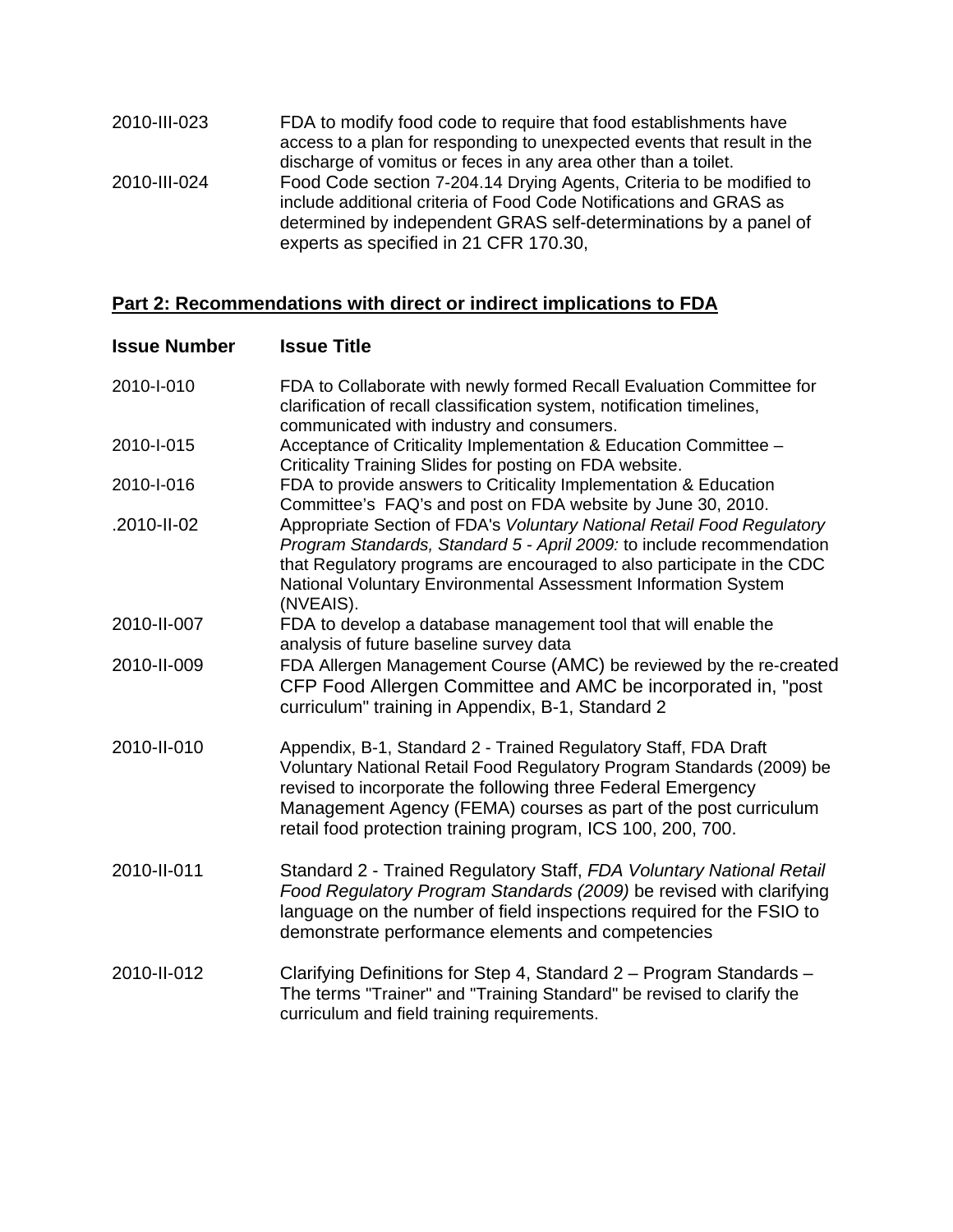| 2010-III-023 | FDA to modify food code to require that food establishments have<br>access to a plan for responding to unexpected events that result in the<br>discharge of vomitus or feces in any area other than a toilet.                                            |
|--------------|----------------------------------------------------------------------------------------------------------------------------------------------------------------------------------------------------------------------------------------------------------|
| 2010-III-024 | Food Code section 7-204.14 Drying Agents, Criteria to be modified to<br>include additional criteria of Food Code Notifications and GRAS as<br>determined by independent GRAS self-determinations by a panel of<br>experts as specified in 21 CFR 170.30, |

## **Part 2: Recommendations with direct or indirect implications to FDA**

| <b>Issue Number</b> | <b>Issue Title</b>                                                                                                                                                                                                                                                                                                                         |
|---------------------|--------------------------------------------------------------------------------------------------------------------------------------------------------------------------------------------------------------------------------------------------------------------------------------------------------------------------------------------|
| 2010-I-010          | FDA to Collaborate with newly formed Recall Evaluation Committee for<br>clarification of recall classification system, notification timelines,<br>communicated with industry and consumers.                                                                                                                                                |
| 2010-I-015          | Acceptance of Criticality Implementation & Education Committee -<br>Criticality Training Slides for posting on FDA website.                                                                                                                                                                                                                |
| 2010-I-016          | FDA to provide answers to Criticality Implementation & Education<br>Committee's FAQ's and post on FDA website by June 30, 2010.                                                                                                                                                                                                            |
| .2010-II-02         | Appropriate Section of FDA's Voluntary National Retail Food Regulatory<br>Program Standards, Standard 5 - April 2009: to include recommendation<br>that Regulatory programs are encouraged to also participate in the CDC<br>National Voluntary Environmental Assessment Information System<br>(NVEAIS).                                   |
| 2010-II-007         | FDA to develop a database management tool that will enable the<br>analysis of future baseline survey data                                                                                                                                                                                                                                  |
| 2010-II-009         | FDA Allergen Management Course (AMC) be reviewed by the re-created<br>CFP Food Allergen Committee and AMC be incorporated in, "post<br>curriculum" training in Appendix, B-1, Standard 2                                                                                                                                                   |
| 2010-II-010         | Appendix, B-1, Standard 2 - Trained Regulatory Staff, FDA Draft<br>Voluntary National Retail Food Regulatory Program Standards (2009) be<br>revised to incorporate the following three Federal Emergency<br>Management Agency (FEMA) courses as part of the post curriculum<br>retail food protection training program, ICS 100, 200, 700. |
| 2010-II-011         | Standard 2 - Trained Regulatory Staff, FDA Voluntary National Retail<br>Food Regulatory Program Standards (2009) be revised with clarifying<br>language on the number of field inspections required for the FSIO to<br>demonstrate performance elements and competencies                                                                   |
| 2010-II-012         | Clarifying Definitions for Step 4, Standard 2 - Program Standards -<br>The terms "Trainer" and "Training Standard" be revised to clarify the<br>curriculum and field training requirements.                                                                                                                                                |